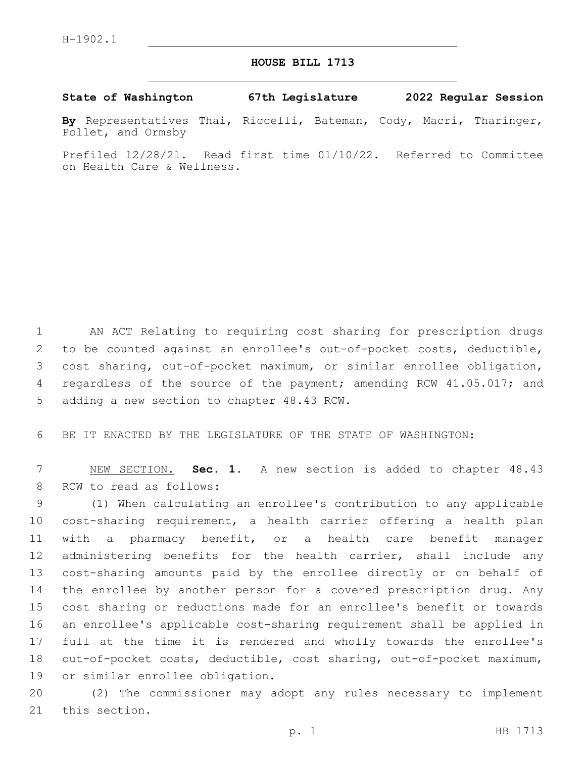## **HOUSE BILL 1713**

**State of Washington 67th Legislature 2022 Regular Session**

**By** Representatives Thai, Riccelli, Bateman, Cody, Macri, Tharinger, Pollet, and Ormsby

Prefiled 12/28/21. Read first time 01/10/22. Referred to Committee on Health Care & Wellness.

1 AN ACT Relating to requiring cost sharing for prescription drugs 2 to be counted against an enrollee's out-of-pocket costs, deductible, 3 cost sharing, out-of-pocket maximum, or similar enrollee obligation, 4 regardless of the source of the payment; amending RCW 41.05.017; and 5 adding a new section to chapter 48.43 RCW.

6 BE IT ENACTED BY THE LEGISLATURE OF THE STATE OF WASHINGTON:

7 NEW SECTION. **Sec. 1.** A new section is added to chapter 48.43 8 RCW to read as follows:

 (1) When calculating an enrollee's contribution to any applicable cost-sharing requirement, a health carrier offering a health plan with a pharmacy benefit, or a health care benefit manager administering benefits for the health carrier, shall include any cost-sharing amounts paid by the enrollee directly or on behalf of the enrollee by another person for a covered prescription drug. Any cost sharing or reductions made for an enrollee's benefit or towards an enrollee's applicable cost-sharing requirement shall be applied in full at the time it is rendered and wholly towards the enrollee's out-of-pocket costs, deductible, cost sharing, out-of-pocket maximum, 19 or similar enrollee obligation.

20 (2) The commissioner may adopt any rules necessary to implement 21 this section.